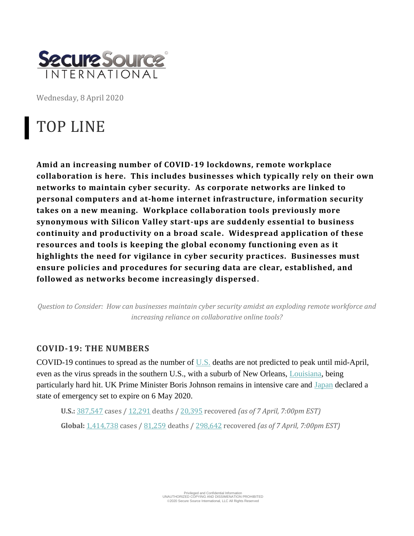

Wednesday, 8 April 2020

# TOP LINE

**Amid an increasing number of COVID-19 lockdowns, remote workplace collaboration is here. This includes businesses which typically rely on their own networks to maintain cyber security. As corporate networks are linked to personal computers and at-home internet infrastructure, information security takes on a new meaning. Workplace collaboration tools previously more synonymous with Silicon Valley start-ups are suddenly essential to business continuity and productivity on a broad scale. Widespread application of these resources and tools is keeping the global economy functioning even as it highlights the need for vigilance in cyber security practices. Businesses must ensure policies and procedures for securing data are clear, established, and followed as networks become increasingly dispersed.** 

*Question to Consider: How can businesses maintain cyber security amidst an exploding remote workforce and increasing reliance on collaborative online tools?*

### **COVID-19: THE NUMBERS**

COVID-19 continues to spread as the number of [U.S.](https://apnews.com/6e506c4f105670b8fa8eb5531aadf2c1) deaths are not predicted to peak until mid-April, even as the virus spreads in the southern U.S., with a suburb of New Orleans, [Louisiana,](https://www.theguardian.com/us-news/2020/apr/07/cancer-alley-coronavirus-reserve-louisiana) being particularly hard hit. UK Prime Minister Boris Johnson remains in intensive care and [Japan](https://apnews.com/6e506c4f105670b8fa8eb5531aadf2c1) declared a state of emergency set to expire on 6 May 2020.

**U.S.:** [387,547](https://coronavirus.jhu.edu/map.html) cases / [12,291](https://coronavirus.jhu.edu/map.html) deaths / [20,395](https://coronavirus.jhu.edu/map.html) recovered *(as of 7 April, 7:00pm EST)* **Global:** [1,414,738](https://coronavirus.jhu.edu/map.html) cases / [81,259](https://coronavirus.jhu.edu/map.html) deaths / [298,642](https://coronavirus.jhu.edu/map.html) recovered *(as of 7 April, 7:00pm EST)*